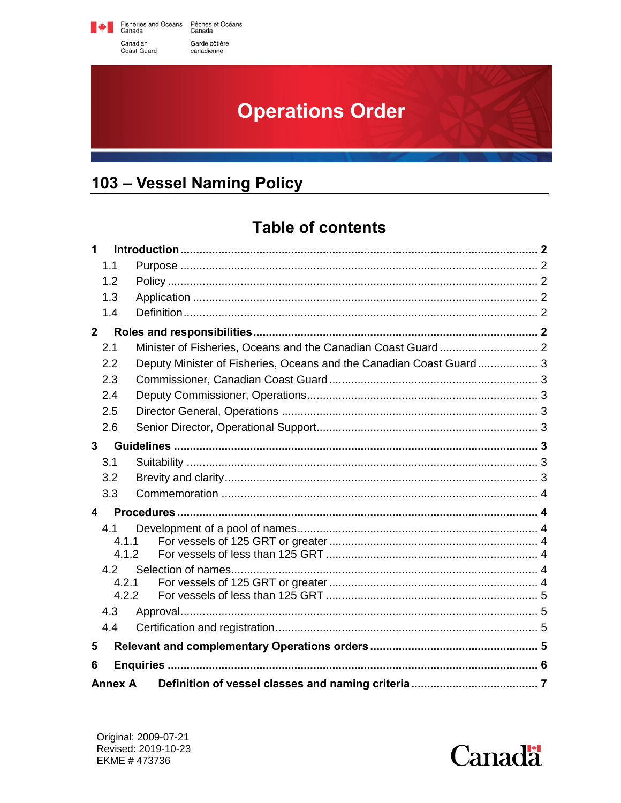Fisheries and Oceans Pêches et Océans<br>Canada Canadian Garde côtière

canadienne

Coast Guard

# **Operations Order**

## <span id="page-0-1"></span><span id="page-0-0"></span>103 - Vessel Naming Policy

## **Table of contents**

| 1              |                |                                                                     |  |  |  |
|----------------|----------------|---------------------------------------------------------------------|--|--|--|
|                | 1.1            |                                                                     |  |  |  |
|                | 1.2            |                                                                     |  |  |  |
|                | 1.3            |                                                                     |  |  |  |
|                | 1.4            |                                                                     |  |  |  |
| $\overline{2}$ |                |                                                                     |  |  |  |
|                | 2.1            |                                                                     |  |  |  |
|                | 2.2            | Deputy Minister of Fisheries, Oceans and the Canadian Coast Guard 3 |  |  |  |
|                | 2.3            |                                                                     |  |  |  |
|                | 2.4            |                                                                     |  |  |  |
|                | 2.5            |                                                                     |  |  |  |
|                | 2.6            |                                                                     |  |  |  |
|                | $\mathbf{3}$   |                                                                     |  |  |  |
|                | 3.1            |                                                                     |  |  |  |
|                | 3.2            |                                                                     |  |  |  |
|                | 3.3            |                                                                     |  |  |  |
| 4              |                |                                                                     |  |  |  |
|                | 4.1            |                                                                     |  |  |  |
|                | 4.1.1          |                                                                     |  |  |  |
|                | 4.1.2          |                                                                     |  |  |  |
|                | 4.2            |                                                                     |  |  |  |
|                | 4.2.1<br>4.2.2 |                                                                     |  |  |  |
| 4.3            |                |                                                                     |  |  |  |
|                | 4.4            |                                                                     |  |  |  |
| 5              |                |                                                                     |  |  |  |
|                |                |                                                                     |  |  |  |
| 6              |                |                                                                     |  |  |  |
| <b>Annex A</b> |                |                                                                     |  |  |  |

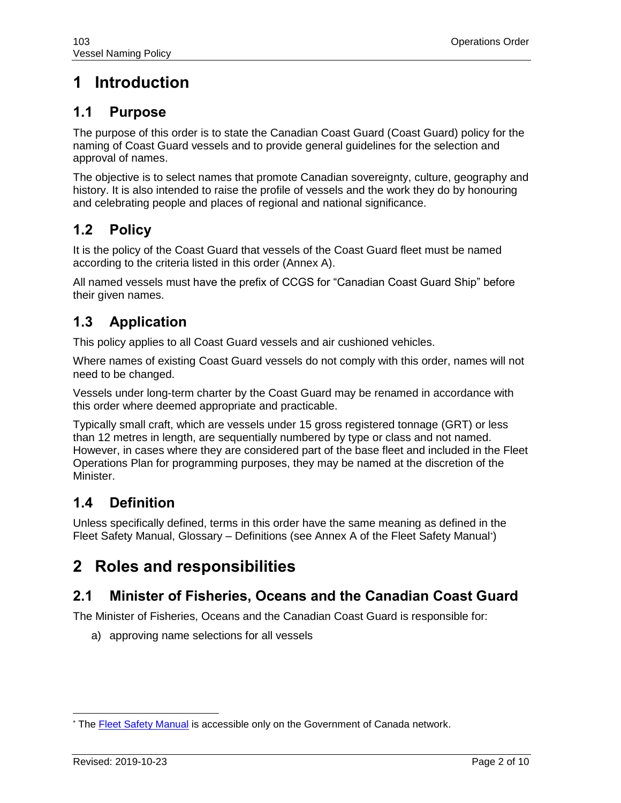## **1 Introduction**

### **1.1 Purpose**

The purpose of this order is to state the Canadian Coast Guard (Coast Guard) policy for the naming of Coast Guard vessels and to provide general guidelines for the selection and approval of names.

The objective is to select names that promote Canadian sovereignty, culture, geography and history. It is also intended to raise the profile of vessels and the work they do by honouring and celebrating people and places of regional and national significance.

### **1.2 Policy**

It is the policy of the Coast Guard that vessels of the Coast Guard fleet must be named according to the criteria listed in this order (Annex A).

All named vessels must have the prefix of CCGS for "Canadian Coast Guard Ship" before their given names.

### **1.3 Application**

This policy applies to all Coast Guard vessels and air cushioned vehicles.

Where names of existing Coast Guard vessels do not comply with this order, names will not need to be changed.

Vessels under long-term charter by the Coast Guard may be renamed in accordance with this order where deemed appropriate and practicable.

Typically small craft, which are vessels under 15 gross registered tonnage (GRT) or less than 12 metres in length, are sequentially numbered by type or class and not named. However, in cases where they are considered part of the base fleet and included in the Fleet Operations Plan for programming purposes, they may be named at the discretion of the Minister.

### **1.4 Definition**

Unless specifically defined, terms in this order have the same meaning as defined in the Fleet Safety Manual, Glossary – Definitions (see Annex A of the Fleet Safety Manual\* )

## **2 Roles and responsibilities**

### **2.1 Minister of Fisheries, Oceans and the Canadian Coast Guard**

The Minister of Fisheries, Oceans and the Canadian Coast Guard is responsible for:

a) approving name selections for all vessels

 <sup>\*</sup> The **Fleet Safety Manual** is accessible only on the Government of Canada network.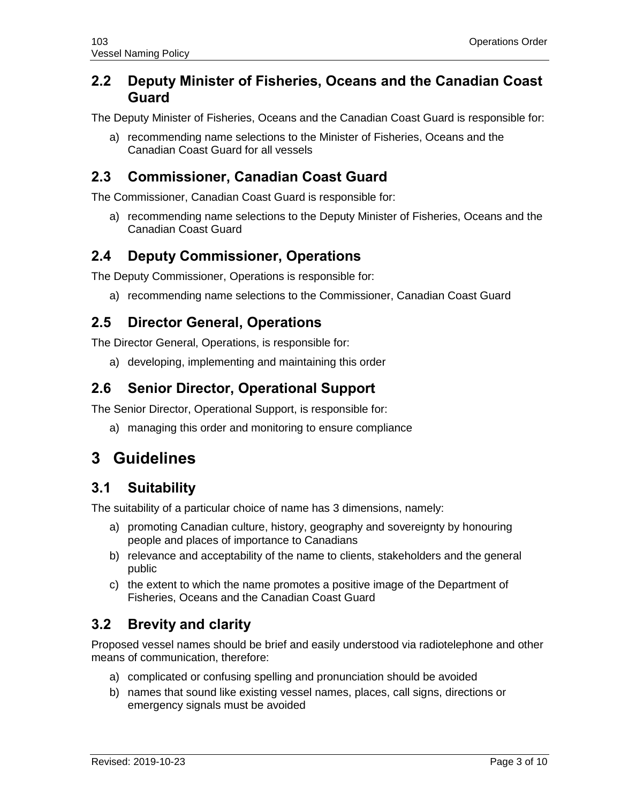#### **2.2 Deputy Minister of Fisheries, Oceans and the Canadian Coast Guard**

The Deputy Minister of Fisheries, Oceans and the Canadian Coast Guard is responsible for:

a) recommending name selections to the Minister of Fisheries, Oceans and the Canadian Coast Guard for all vessels

#### **2.3 Commissioner, Canadian Coast Guard**

The Commissioner, Canadian Coast Guard is responsible for:

a) recommending name selections to the Deputy Minister of Fisheries, Oceans and the Canadian Coast Guard

#### **2.4 Deputy Commissioner, Operations**

The Deputy Commissioner, Operations is responsible for:

a) recommending name selections to the Commissioner, Canadian Coast Guard

#### **2.5 Director General, Operations**

The Director General, Operations, is responsible for:

a) developing, implementing and maintaining this order

#### **2.6 Senior Director, Operational Support**

The Senior Director, Operational Support, is responsible for:

a) managing this order and monitoring to ensure compliance

### **3 Guidelines**

#### **3.1 Suitability**

The suitability of a particular choice of name has 3 dimensions, namely:

- a) promoting Canadian culture, history, geography and sovereignty by honouring people and places of importance to Canadians
- b) relevance and acceptability of the name to clients, stakeholders and the general public
- c) the extent to which the name promotes a positive image of the Department of Fisheries, Oceans and the Canadian Coast Guard

#### **3.2 Brevity and clarity**

Proposed vessel names should be brief and easily understood via radiotelephone and other means of communication, therefore:

- a) complicated or confusing spelling and pronunciation should be avoided
- b) names that sound like existing vessel names, places, call signs, directions or emergency signals must be avoided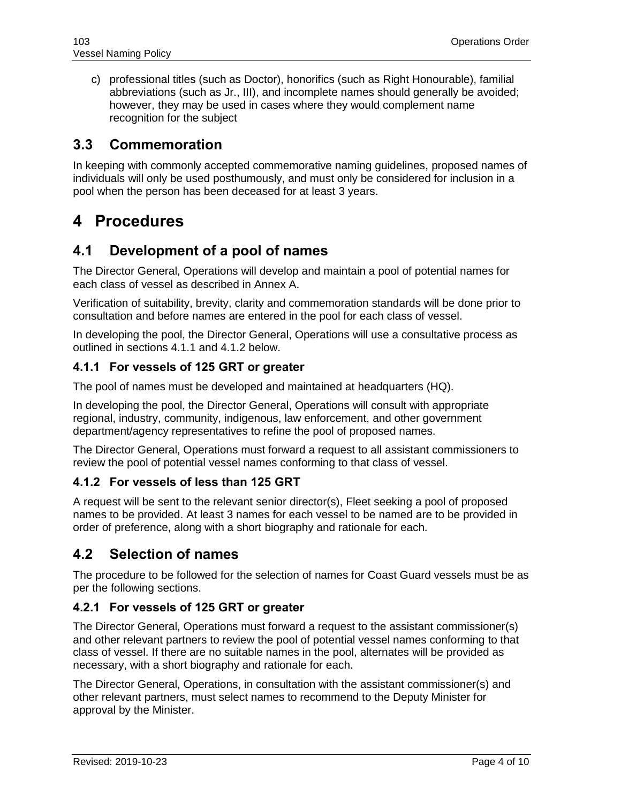c) professional titles (such as Doctor), honorifics (such as Right Honourable), familial abbreviations (such as Jr., III), and incomplete names should generally be avoided; however, they may be used in cases where they would complement name recognition for the subject

#### **3.3 Commemoration**

In keeping with commonly accepted commemorative naming guidelines, proposed names of individuals will only be used posthumously, and must only be considered for inclusion in a pool when the person has been deceased for at least 3 years.

### **4 Procedures**

#### **4.1 Development of a pool of names**

The Director General, Operations will develop and maintain a pool of potential names for each class of vessel as described in Annex A.

Verification of suitability, brevity, clarity and commemoration standards will be done prior to consultation and before names are entered in the pool for each class of vessel.

In developing the pool, the Director General, Operations will use a consultative process as outlined in sections 4.1.1 and 4.1.2 below.

#### **4.1.1 For vessels of 125 GRT or greater**

The pool of names must be developed and maintained at headquarters (HQ).

In developing the pool, the Director General, Operations will consult with appropriate regional, industry, community, indigenous, law enforcement, and other government department/agency representatives to refine the pool of proposed names.

The Director General, Operations must forward a request to all assistant commissioners to review the pool of potential vessel names conforming to that class of vessel.

#### **4.1.2 For vessels of less than 125 GRT**

A request will be sent to the relevant senior director(s), Fleet seeking a pool of proposed names to be provided. At least 3 names for each vessel to be named are to be provided in order of preference, along with a short biography and rationale for each.

#### **4.2 Selection of names**

The procedure to be followed for the selection of names for Coast Guard vessels must be as per the following sections.

#### **4.2.1 For vessels of 125 GRT or greater**

The Director General, Operations must forward a request to the assistant commissioner(s) and other relevant partners to review the pool of potential vessel names conforming to that class of vessel. If there are no suitable names in the pool, alternates will be provided as necessary, with a short biography and rationale for each.

The Director General, Operations, in consultation with the assistant commissioner(s) and other relevant partners, must select names to recommend to the Deputy Minister for approval by the Minister.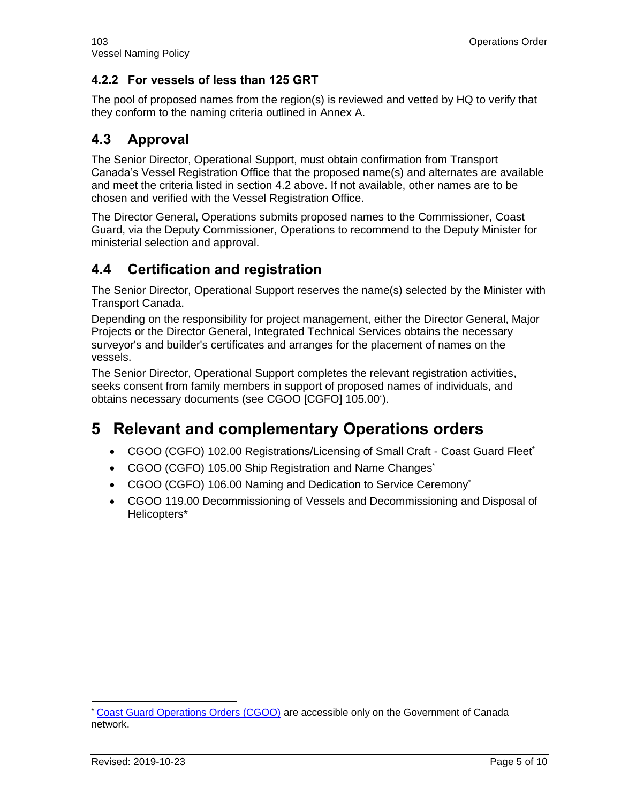#### **4.2.2 For vessels of less than 125 GRT**

The pool of proposed names from the region(s) is reviewed and vetted by HQ to verify that they conform to the naming criteria outlined in Annex A.

### **4.3 Approval**

The Senior Director, Operational Support, must obtain confirmation from Transport Canada's Vessel Registration Office that the proposed name(s) and alternates are available and meet the criteria listed in section 4.2 above. If not available, other names are to be chosen and verified with the Vessel Registration Office.

The Director General, Operations submits proposed names to the Commissioner, Coast Guard, via the Deputy Commissioner, Operations to recommend to the Deputy Minister for ministerial selection and approval.

#### **4.4 Certification and registration**

The Senior Director, Operational Support reserves the name(s) selected by the Minister with Transport Canada.

Depending on the responsibility for project management, either the Director General, Major Projects or the Director General, Integrated Technical Services obtains the necessary surveyor's and builder's certificates and arranges for the placement of names on the vessels.

The Senior Director, Operational Support completes the relevant registration activities, seeks consent from family members in support of proposed names of individuals, and obtains necessary documents (see CGOO [CGFO] 105.00\* ).

### **5 Relevant and complementary Operations orders**

- CGOO (CGFO) 102.00 Registrations/Licensing of Small Craft Coast Guard Fleet\*
- CGOO (CGFO) 105.00 Ship Registration and Name Changes\*
- CGOO (CGFO) 106.00 Naming and Dedication to Service Ceremony<sup>\*</sup>
- CGOO 119.00 Decommissioning of Vessels and Decommissioning and Disposal of Helicopters\*

[Coast Guard Operations Orders \(CGOO\)](https://intra.ccg-gcc.gc.ca/operations/en/national-directives/5349.html) are accessible only on the Government of Canada network.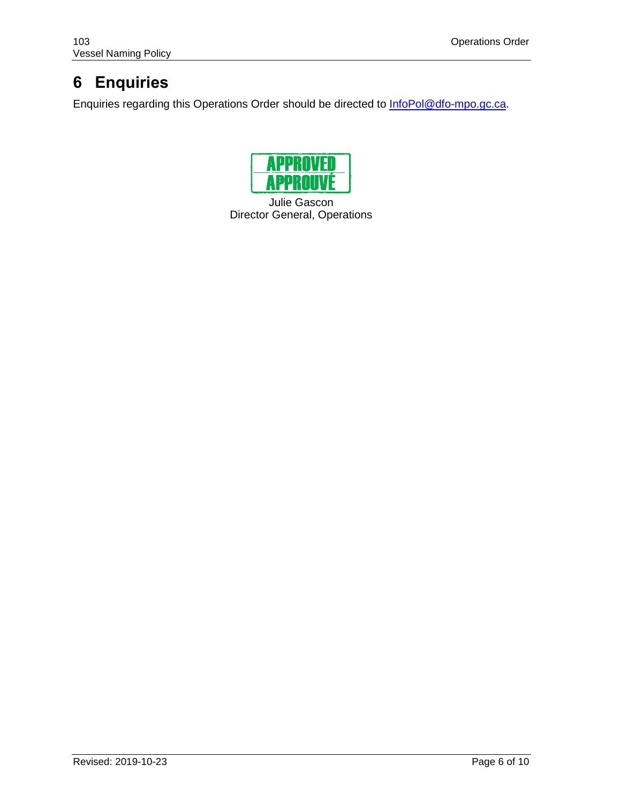## **6 Enquiries**

Enquiries regarding this Operations Order should be directed to **InfoPol@dfo-mpo.gc.ca**.



Julie Gascon Director General, Operations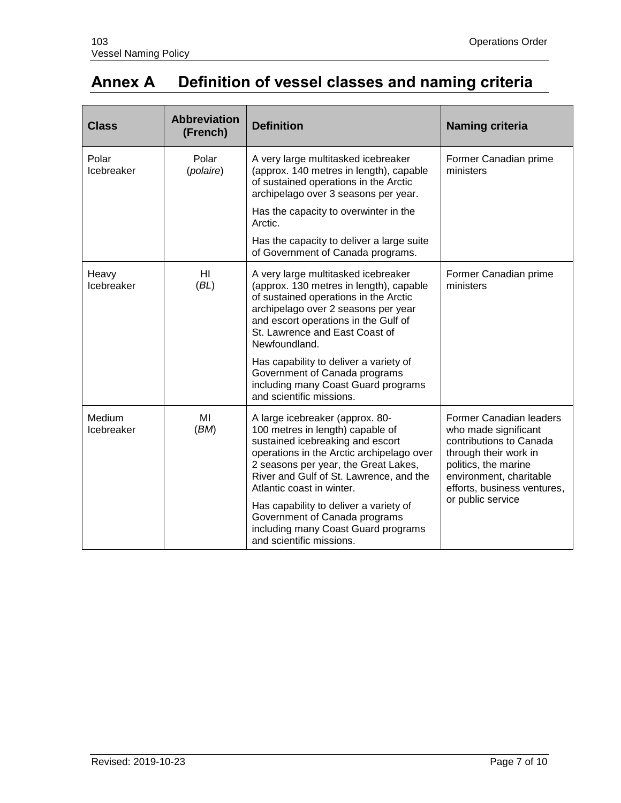## **Annex A Definition of vessel classes and naming criteria**

| <b>Class</b>         | <b>Abbreviation</b><br>(French) | <b>Definition</b>                                                                                                                                                                                                                                                    | <b>Naming criteria</b>                                                                                                                                                                                            |
|----------------------|---------------------------------|----------------------------------------------------------------------------------------------------------------------------------------------------------------------------------------------------------------------------------------------------------------------|-------------------------------------------------------------------------------------------------------------------------------------------------------------------------------------------------------------------|
| Polar<br>Icebreaker  | Polar<br>(polaire)              | A very large multitasked icebreaker<br>(approx. 140 metres in length), capable<br>of sustained operations in the Arctic<br>archipelago over 3 seasons per year.                                                                                                      | Former Canadian prime<br>ministers                                                                                                                                                                                |
|                      |                                 | Has the capacity to overwinter in the<br>Arctic.                                                                                                                                                                                                                     |                                                                                                                                                                                                                   |
|                      |                                 | Has the capacity to deliver a large suite<br>of Government of Canada programs.                                                                                                                                                                                       |                                                                                                                                                                                                                   |
| Heavy<br>Icebreaker  | HI<br>(BL)                      | A very large multitasked icebreaker<br>(approx. 130 metres in length), capable<br>of sustained operations in the Arctic<br>archipelago over 2 seasons per year<br>and escort operations in the Gulf of<br>St. Lawrence and East Coast of<br>Newfoundland.            | Former Canadian prime<br>ministers                                                                                                                                                                                |
|                      |                                 | Has capability to deliver a variety of<br>Government of Canada programs<br>including many Coast Guard programs<br>and scientific missions.                                                                                                                           |                                                                                                                                                                                                                   |
| Medium<br>Icebreaker | MI<br>(BM)                      | A large icebreaker (approx. 80-<br>100 metres in length) capable of<br>sustained icebreaking and escort<br>operations in the Arctic archipelago over<br>2 seasons per year, the Great Lakes,<br>River and Gulf of St. Lawrence, and the<br>Atlantic coast in winter. | <b>Former Canadian leaders</b><br>who made significant<br>contributions to Canada<br>through their work in<br>politics, the marine<br>environment, charitable<br>efforts, business ventures,<br>or public service |
|                      |                                 | Has capability to deliver a variety of<br>Government of Canada programs<br>including many Coast Guard programs<br>and scientific missions.                                                                                                                           |                                                                                                                                                                                                                   |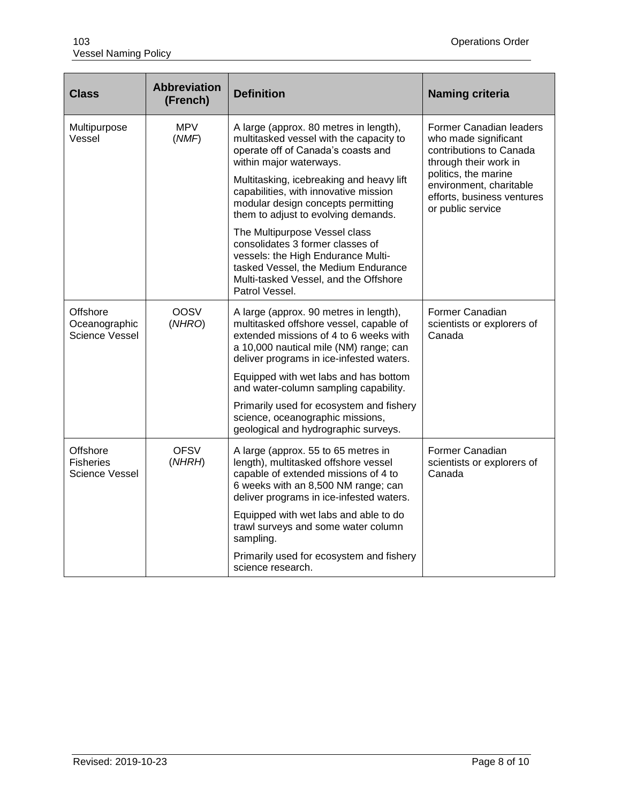| <b>Class</b>                                   | <b>Abbreviation</b><br>(French) | <b>Definition</b>                                                                                                                                                                                                 | <b>Naming criteria</b>                                                                                                                                                                                    |
|------------------------------------------------|---------------------------------|-------------------------------------------------------------------------------------------------------------------------------------------------------------------------------------------------------------------|-----------------------------------------------------------------------------------------------------------------------------------------------------------------------------------------------------------|
| Multipurpose<br>Vessel                         | <b>MPV</b><br>(MMF)             | A large (approx. 80 metres in length),<br>multitasked vessel with the capacity to<br>operate off of Canada's coasts and<br>within major waterways.                                                                | Former Canadian leaders<br>who made significant<br>contributions to Canada<br>through their work in<br>politics, the marine<br>environment, charitable<br>efforts, business ventures<br>or public service |
|                                                |                                 | Multitasking, icebreaking and heavy lift<br>capabilities, with innovative mission<br>modular design concepts permitting<br>them to adjust to evolving demands.                                                    |                                                                                                                                                                                                           |
|                                                |                                 | The Multipurpose Vessel class<br>consolidates 3 former classes of<br>vessels: the High Endurance Multi-<br>tasked Vessel, the Medium Endurance<br>Multi-tasked Vessel, and the Offshore<br>Patrol Vessel.         |                                                                                                                                                                                                           |
| Offshore<br>Oceanographic<br>Science Vessel    | <b>OOSV</b><br>(NHRO)           | A large (approx. 90 metres in length),<br>multitasked offshore vessel, capable of<br>extended missions of 4 to 6 weeks with<br>a 10,000 nautical mile (NM) range; can<br>deliver programs in ice-infested waters. | Former Canadian<br>scientists or explorers of<br>Canada                                                                                                                                                   |
|                                                |                                 | Equipped with wet labs and has bottom<br>and water-column sampling capability.                                                                                                                                    |                                                                                                                                                                                                           |
|                                                |                                 | Primarily used for ecosystem and fishery<br>science, oceanographic missions,<br>geological and hydrographic surveys.                                                                                              |                                                                                                                                                                                                           |
| Offshore<br><b>Fisheries</b><br>Science Vessel | <b>OFSV</b><br>(NHRH)           | A large (approx. 55 to 65 metres in<br>length), multitasked offshore vessel<br>capable of extended missions of 4 to<br>6 weeks with an 8,500 NM range; can<br>deliver programs in ice-infested waters.            | Former Canadian<br>scientists or explorers of<br>Canada                                                                                                                                                   |
|                                                |                                 | Equipped with wet labs and able to do<br>trawl surveys and some water column<br>sampling.                                                                                                                         |                                                                                                                                                                                                           |
|                                                |                                 | Primarily used for ecosystem and fishery<br>science research.                                                                                                                                                     |                                                                                                                                                                                                           |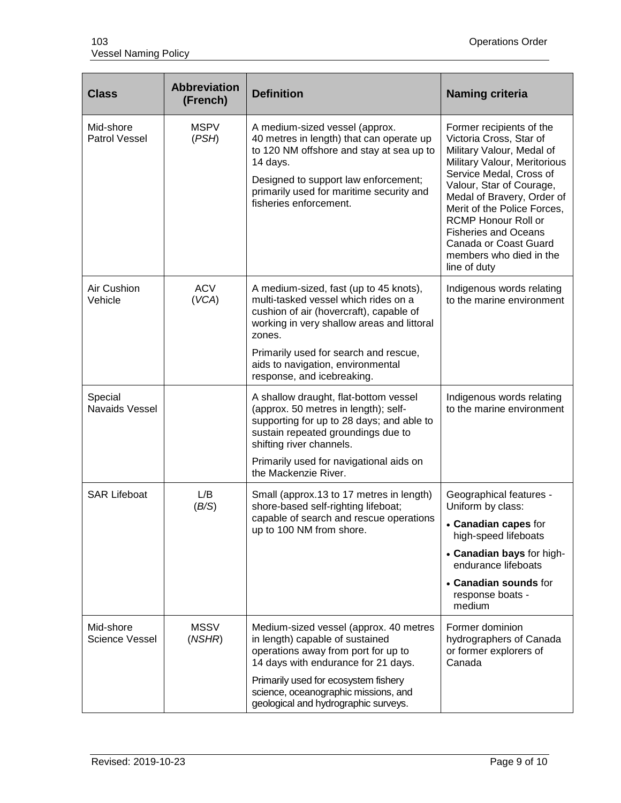| <b>Class</b>                      | <b>Abbreviation</b><br>(French) | <b>Definition</b>                                                                                                                                                                                                                                                                             | <b>Naming criteria</b>                                                                                                                                                                                                                                                                                                                                                |
|-----------------------------------|---------------------------------|-----------------------------------------------------------------------------------------------------------------------------------------------------------------------------------------------------------------------------------------------------------------------------------------------|-----------------------------------------------------------------------------------------------------------------------------------------------------------------------------------------------------------------------------------------------------------------------------------------------------------------------------------------------------------------------|
| Mid-shore<br><b>Patrol Vessel</b> | <b>MSPV</b><br>(PSH)            | A medium-sized vessel (approx.<br>40 metres in length) that can operate up<br>to 120 NM offshore and stay at sea up to<br>14 days.<br>Designed to support law enforcement;<br>primarily used for maritime security and<br>fisheries enforcement.                                              | Former recipients of the<br>Victoria Cross, Star of<br>Military Valour, Medal of<br>Military Valour, Meritorious<br>Service Medal, Cross of<br>Valour, Star of Courage,<br>Medal of Bravery, Order of<br>Merit of the Police Forces.<br><b>RCMP Honour Roll or</b><br><b>Fisheries and Oceans</b><br>Canada or Coast Guard<br>members who died in the<br>line of duty |
| Air Cushion<br>Vehicle            | <b>ACV</b><br>(VCA)             | A medium-sized, fast (up to 45 knots),<br>multi-tasked vessel which rides on a<br>cushion of air (hovercraft), capable of<br>working in very shallow areas and littoral<br>zones.<br>Primarily used for search and rescue,<br>aids to navigation, environmental<br>response, and icebreaking. | Indigenous words relating<br>to the marine environment                                                                                                                                                                                                                                                                                                                |
| Special<br>Navaids Vessel         |                                 | A shallow draught, flat-bottom vessel<br>(approx. 50 metres in length); self-<br>supporting for up to 28 days; and able to<br>sustain repeated groundings due to<br>shifting river channels.<br>Primarily used for navigational aids on<br>the Mackenzie River.                               | Indigenous words relating<br>to the marine environment                                                                                                                                                                                                                                                                                                                |
| <b>SAR Lifeboat</b>               | L/B<br>(B/S)                    | Small (approx.13 to 17 metres in length)<br>shore-based self-righting lifeboat;<br>capable of search and rescue operations<br>up to 100 NM from shore.                                                                                                                                        | Geographical features -<br>Uniform by class:<br>• Canadian capes for<br>high-speed lifeboats<br>• Canadian bays for high-<br>endurance lifeboats<br>• Canadian sounds for<br>response boats -<br>medium                                                                                                                                                               |
| Mid-shore<br>Science Vessel       | <b>MSSV</b><br>(NSHR)           | Medium-sized vessel (approx. 40 metres<br>in length) capable of sustained<br>operations away from port for up to<br>14 days with endurance for 21 days.<br>Primarily used for ecosystem fishery<br>science, oceanographic missions, and<br>geological and hydrographic surveys.               | Former dominion<br>hydrographers of Canada<br>or former explorers of<br>Canada                                                                                                                                                                                                                                                                                        |